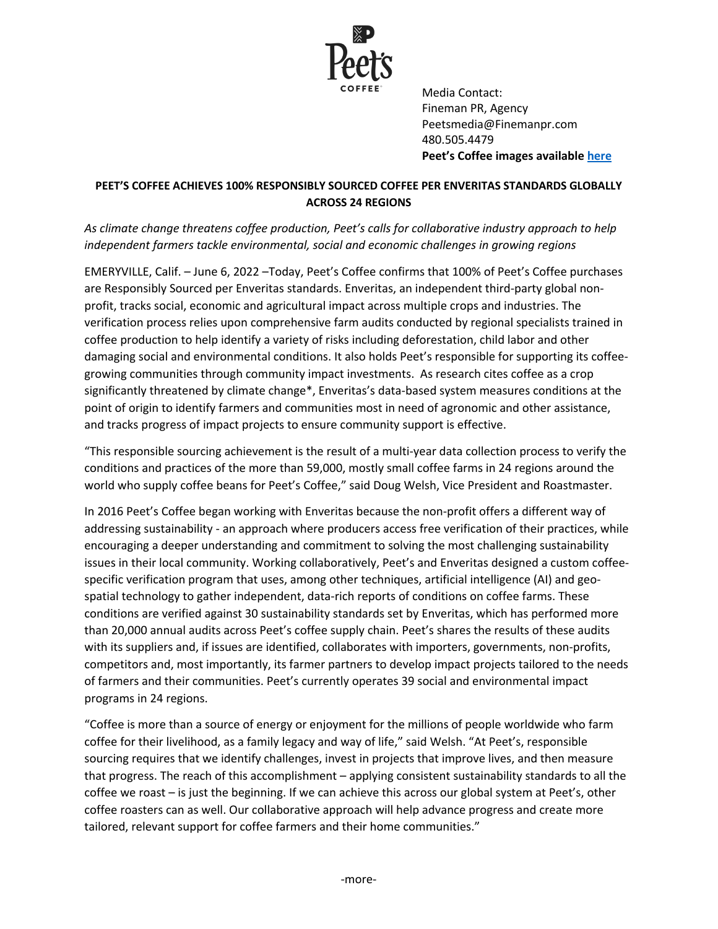

Media Contact: Fineman PR, Agency Peetsmedia@Finemanpr.com 480.505.4479 **Peet's Coffee images available here**

## **PEET'S COFFEE ACHIEVES 100% RESPONSIBLY SOURCED COFFEE PER ENVERITAS STANDARDS GLOBALLY ACROSS 24 REGIONS**

*As climate change threatens coffee production, Peet's calls for collaborative industry approach to help independent farmers tackle environmental, social and economic challenges in growing regions*

EMERYVILLE, Calif. – June 6, 2022 –Today, Peet's Coffee confirms that 100% of Peet's Coffee purchases are Responsibly Sourced per Enveritas standards. Enveritas, an independent third-party global nonprofit, tracks social, economic and agricultural impact across multiple crops and industries. The verification process relies upon comprehensive farm audits conducted by regional specialists trained in coffee production to help identify a variety of risks including deforestation, child labor and other damaging social and environmental conditions. It also holds Peet's responsible for supporting its coffeegrowing communities through community impact investments. As research cites coffee as a crop significantly threatened by climate change\*, Enveritas's data-based system measures conditions at the point of origin to identify farmers and communities most in need of agronomic and other assistance, and tracks progress of impact projects to ensure community support is effective.

"This responsible sourcing achievement is the result of a multi-year data collection process to verify the conditions and practices of the more than 59,000, mostly small coffee farms in 24 regions around the world who supply coffee beans for Peet's Coffee," said Doug Welsh, Vice President and Roastmaster.

In 2016 Peet's Coffee began working with Enveritas because the non-profit offers a different way of addressing sustainability - an approach where producers access free verification of their practices, while encouraging a deeper understanding and commitment to solving the most challenging sustainability issues in their local community. Working collaboratively, Peet's and Enveritas designed a custom coffeespecific verification program that uses, among other techniques, artificial intelligence (AI) and geospatial technology to gather independent, data-rich reports of conditions on coffee farms. These conditions are verified against 30 sustainability standards set by Enveritas, which has performed more than 20,000 annual audits across Peet's coffee supply chain. Peet's shares the results of these audits with its suppliers and, if issues are identified, collaborates with importers, governments, non-profits, competitors and, most importantly, its farmer partners to develop impact projects tailored to the needs of farmers and their communities. Peet's currently operates 39 social and environmental impact programs in 24 regions.

"Coffee is more than a source of energy or enjoyment for the millions of people worldwide who farm coffee for their livelihood, as a family legacy and way of life," said Welsh. "At Peet's, responsible sourcing requires that we identify challenges, invest in projects that improve lives, and then measure that progress. The reach of this accomplishment – applying consistent sustainability standards to all the coffee we roast – is just the beginning. If we can achieve this across our global system at Peet's, other coffee roasters can as well. Our collaborative approach will help advance progress and create more tailored, relevant support for coffee farmers and their home communities."